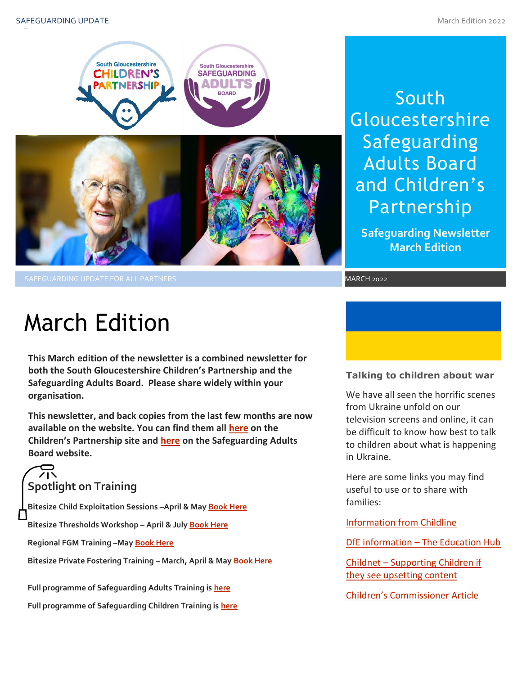

South **Gloucestershire** Safeguarding Adults Board and Children's Partnership

**Safeguarding Newsletter March Edition**

<sup>2022</sup> MARCH 2022

# March Edition

**This March edition of the newsletter is a combined newsletter for both the South Gloucestershire Children's Partnership and the Safeguarding Adults Board. Please share widely within your organisation.**

**This newsletter, and back copies from the last few months are now available on the website. You can find them all [here](https://sites.southglos.gov.uk/safeguarding/children/safeguarding-children-board/scb-minutes-of-meetings/) on the Children's Partnership site and [here](https://sites.southglos.gov.uk/safeguarding/adults/safeguarding-adults-board/newsletters-2/) on the Safeguarding Adults Board website.**

### **Spotlight on Training**

**Bitesize Child Exploitation Sessions –April & Ma[y Book Here](https://www.eventbrite.com/cc/bitesize-exploitation-111199?utm-campaign=social&utm-content=attendeeshare&utm-medium=discovery&utm-term=odclsxcollection&utm-source=cp&aff=odclsxcollection)**

**Bitesize Thresholds Workshop – April & July [Book Here](https://learning.southglos.gov.uk/courses/bookings/default.asp?ds=1&keyword=thresholds)**

**Regional FGM Training –Ma[y Book Here](https://safeguardingsomerset.event-booking.org.uk/events-list?c=359)**

**Bitesize Private Fostering Training – March, April & May [Book Here](https://www.eventbrite.com/cc/bitesize-private-fostering-144719?utm-campaign=social&utm-content=creatorshare&utm-medium=discovery&utm-term=odclsxcollection&utm-source=cp&aff=escb)**

**Full programme of Safeguarding Adults Training is [here](https://sway.office.com/t1V6fJqHugGmU9OO?ref=Link)**

**Full programme of Safeguarding Children Training is [here](https://sway.office.com/XecEFBowUyeP1T8W?ref=Link)**

# **Talking to children about war**

We have all seen the horrific scenes from Ukraine unfold on our television screens and online, it can be difficult to know how best to talk to children about what is happening in Ukraine.

Here are some links you may find useful to use or to share with families:

**Information from Childline** 

DfE information – [The Education Hub](https://educationhub.blog.gov.uk/2022/02/25/help-for-teachers-and-families-to-talk-to-pupils-about-russias-invasion-of-ukraine-and-how-to-help-them-avoid-misinformation/)

Childnet – [Supporting Children if](https://www.childnet.com/blog/supporting-your-child-with-upsetting-content/)  [they see upsetting content](https://www.childnet.com/blog/supporting-your-child-with-upsetting-content/)

[Children's Commissioner](https://schoolsweek.co.uk/we-should-not-hide-from-children-what-is-happening-in-ukraine/) Article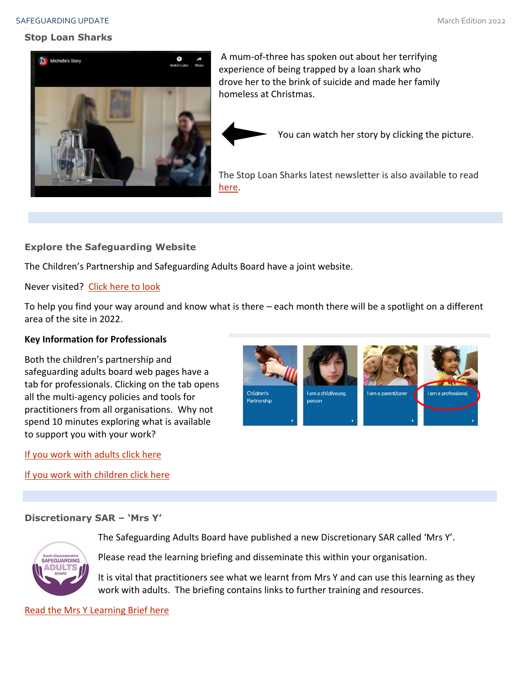#### SAFEGUARDING UPDATE And the state of the state of the state of the state of the state of the state of the state of the state of the state of the state of the state of the state of the state of the state of the state of the

#### **Stop Loan Sharks**



A mum-of-three has spoken out about her terrifying experience of being trapped by a loan shark who drove her to the brink of suicide and made her family homeless at Christmas.

You can watch her story by clicking the picture.

The Stop Loan Sharks latest newsletter is also available to read [here.](https://eur01.safelinks.protection.outlook.com/?url=https%3A%2F%2Fwww.stoploansharks.co.uk%2Fwp-content%2Fuploads%2F2022%2F02%2FStop-Loan-Sharks-Winter-Newsletter-2022.pdf&data=04%7C01%7CWendy.Loades%40birmingham.gov.uk%7Cd6ac72e0544d4162a7e508d9fd3a530c%7C699ace67d2e44bcdb303d2bbe2b9bbf1%7C0%7C0%7C637819249210247757%7CUnknown%7CTWFpbGZsb3d8eyJWIjoiMC4wLjAwMDAiLCJQIjoiV2luMzIiLCJBTiI6Ik1haWwiLCJXVCI6Mn0%3D%7C3000&sdata=SSlZdu%2Bq3U%2BI1pIMTou5Z63hmvtoelmp48AiP47HdIs%3D&reserved=0)

#### **Explore the Safeguarding Website**

The Children's Partnership and Safeguarding Adults Board have a joint website.

Never visited? [Click here to look](http://sites.southglos.gov.uk/safeguarding/wp-content/uploads/sites/221/2016/04/QA-Audit-Pre-school-and-under-1s-Dec-2021.pdf)

To help you find your way around and know what is there – each month there will be a spotlight on a different area of the site in 2022.

#### **Key Information for Professionals**

Both the children's partnership and safeguarding adults board web pages have a tab for professionals. Clicking on the tab opens all the multi-agency policies and tools for practitioners from all organisations. Why not spend 10 minutes exploring what is available to support you with your work?

[If you work with adults click here](http://sites.southglos.gov.uk/safeguarding/category/adults/i-work-with-adults/)

[If you work with children click here](http://sites.southglos.gov.uk/safeguarding/category/children/i-am-a-professional/)



#### **Discretionary SAR – 'Mrs Y'**



The Safeguarding Adults Board have published a new Discretionary SAR called 'Mrs Y'.

Please read the learning briefing and disseminate this within your organisation.

It is vital that practitioners see what we learnt from Mrs Y and can use this learning as they work with adults. The briefing contains links to further training and resources.

[Read the Mrs Y Learning Brief here](http://sites.southglos.gov.uk/safeguarding/wp-content/uploads/sites/221/2015/05/Mrs-Y-Discretionary-SAR-Learning-Brief-Draft-January-2022.pdf)